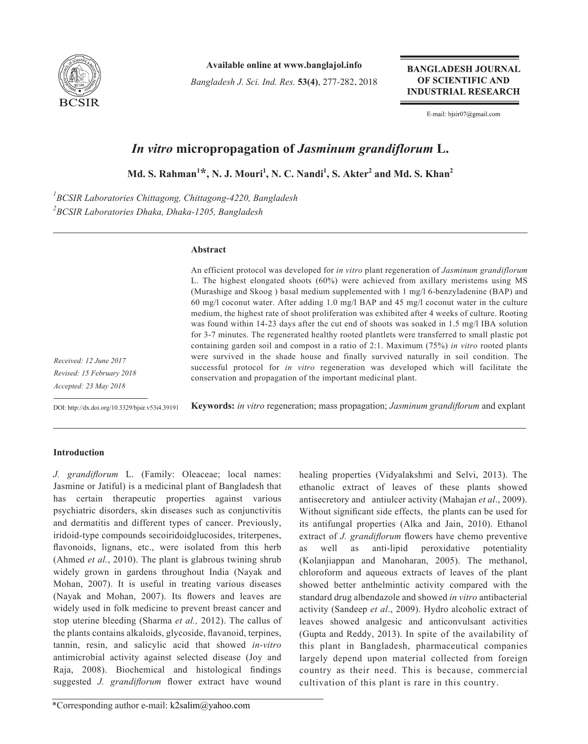

**Available online at www.banglajol.info**

*Bangladesh J. Sci. Ind. Res.* **53(4)**, 277-282, 2018

**BANGLADESH JOURNAL** OF SCIENTIFIC AND **INDUSTRIAL RESEARCH** 

E-mail: bjsir07@gmail.com

# *In vitro* **micropropagation of** *Jasminum grandiflorum* **L.**

 $\mathbf{M}$ d. S. Rahman<sup>1</sup>\*, N. J. Mouri<sup>1</sup>, N. C. Nandi<sup>1</sup>, S. Akter<sup>2</sup> and Md. S. Khan<sup>2</sup>

*1 BCSIR Laboratories Chittagong, Chittagong-4220, Bangladesh 2 BCSIR Laboratories Dhaka, Dhaka-1205, Bangladesh*

## **Abstract**

An efficient protocol was developed for *in vitro* plant regeneration of *Jasminum grandiflorum* L. The highest elongated shoots (60%) were achieved from axillary meristems using MS (Murashige and Skoog ) basal medium supplemented with 1 mg/l 6-benzyladenine (BAP) and 60 mg/l coconut water. After adding 1.0 mg/l BAP and 45 mg/l coconut water in the culture medium, the highest rate of shoot proliferation was exhibited after 4 weeks of culture. Rooting was found within 14-23 days after the cut end of shoots was soaked in 1.5 mg/l IBA solution for 3-7 minutes. The regenerated healthy rooted plantlets were transferred to small plastic pot containing garden soil and compost in a ratio of 2:1. Maximum (75%) *in vitro* rooted plants were survived in the shade house and finally survived naturally in soil condition. The successful protocol for *in vitro* regeneration was developed which will facilitate the conservation and propagation of the important medicinal plant.

*Received: 12 June 2017 Revised: 15 February 2018 Accepted: 23 May 2018*

DOI: http://dx.doi.org/10.3329/bjsir.v53i4.39191

**Keywords:** *in vitro* regeneration; mass propagation; *Jasminum grandiflorum* and explant

## **Introduction**

*J. grandiflorum* L. (Family: Oleaceae; local names: Jasmine or Jatiful) is a medicinal plant of Bangladesh that has certain therapeutic properties against various psychiatric disorders, skin diseases such as conjunctivitis and dermatitis and different types of cancer. Previously, iridoid-type compounds secoiridoidglucosides, triterpenes, flavonoids, lignans, etc., were isolated from this herb (Ahmed *et al.*, 2010). The plant is glabrous twining shrub widely grown in gardens throughout India (Nayak and Mohan, 2007). It is useful in treating various diseases (Nayak and Mohan, 2007). Its flowers and leaves are widely used in folk medicine to prevent breast cancer and stop uterine bleeding (Sharma *et al.,* 2012). The callus of the plants contains alkaloids, glycoside, flavanoid, terpines, tannin, resin, and salicylic acid that showed *in-vitro* antimicrobial activity against selected disease (Joy and Raja, 2008). Biochemical and histological findings suggested *J. grandiflorum* flower extract have wound

healing properties (Vidyalakshmi and Selvi, 2013). The ethanolic extract of leaves of these plants showed antisecretory and antiulcer activity (Mahajan *et al*., 2009). Without significant side effects, the plants can be used for its antifungal properties (Alka and Jain, 2010). Ethanol extract of *J. grandiflorum* flowers have chemo preventive as well as anti-lipid peroxidative potentiality (Kolanjiappan and Manoharan, 2005). The methanol, chloroform and aqueous extracts of leaves of the plant showed better anthelmintic activity compared with the standard drug albendazole and showed *in vitro* antibacterial activity (Sandeep *et al*., 2009). Hydro alcoholic extract of leaves showed analgesic and anticonvulsant activities (Gupta and Reddy, 2013). In spite of the availability of this plant in Bangladesh, pharmaceutical companies largely depend upon material collected from foreign country as their need. This is because, commercial cultivation of this plant is rare in this country.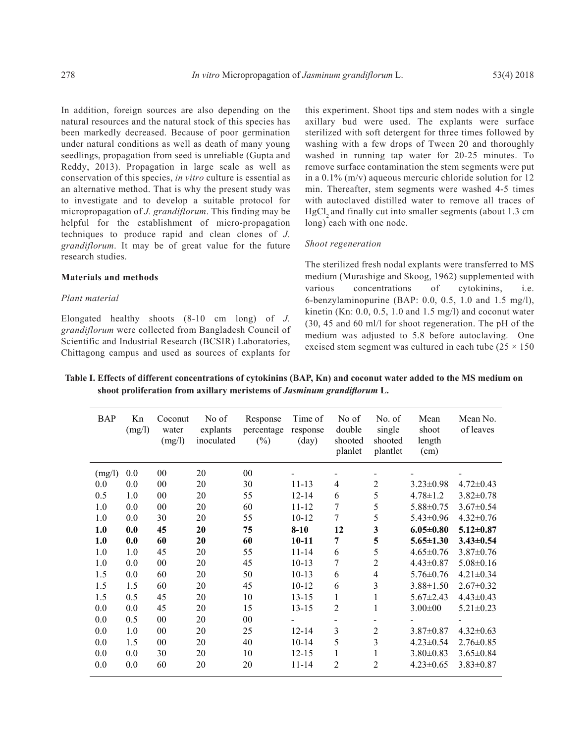In addition, foreign sources are also depending on the natural resources and the natural stock of this species has been markedly decreased. Because of poor germination under natural conditions as well as death of many young seedlings, propagation from seed is unreliable (Gupta and Reddy, 2013). Propagation in large scale as well as conservation of this species, *in vitro* culture is essential as an alternative method. That is why the present study was to investigate and to develop a suitable protocol for micropropagation of *J. grandiflorum*. This finding may be helpful for the establishment of micro-propagation techniques to produce rapid and clean clones of *J. grandiflorum*. It may be of great value for the future research studies.

#### **Materials and methods**

#### *Plant material*

Elongated healthy shoots (8-10 cm long) of *J. grandiflorum* were collected from Bangladesh Council of Scientific and Industrial Research (BCSIR) Laboratories, Chittagong campus and used as sources of explants for this experiment. Shoot tips and stem nodes with a single axillary bud were used. The explants were surface sterilized with soft detergent for three times followed by washing with a few drops of Tween 20 and thoroughly washed in running tap water for 20-25 minutes. To remove surface contamination the stem segments were put in a 0.1% (m/v) aqueous mercuric chloride solution for 12 min. Thereafter, stem segments were washed 4-5 times with autoclaved distilled water to remove all traces of HgCl<sub>2</sub> and finally cut into smaller segments (about 1.3 cm long) each with one node.

#### *Shoot regeneration*

The sterilized fresh nodal explants were transferred to MS medium (Murashige and Skoog, 1962) supplemented with various concentrations of cytokinins, i.e. 6-benzylaminopurine (BAP: 0.0, 0.5, 1.0 and 1.5 mg/l), kinetin (Kn: 0.0, 0.5, 1.0 and 1.5 mg/l) and coconut water (30, 45 and 60 ml/l for shoot regeneration. The pH of the medium was adjusted to 5.8 before autoclaving. One excised stem segment was cultured in each tube  $(25 \times 150)$ 

**Table I. Effects of different concentrations of cytokinins (BAP, Kn) and coconut water added to the MS medium on shoot proliferation from axillary meristems of** *Jasminum grandiflorum* **L.**

| <b>BAP</b> | Kn<br>(mg/l) | Coconut<br>water<br>(mg/l) | No of<br>explants<br>inoculated | Response<br>percentage<br>$(\%)$ | Time of<br>response<br>$\text{(day)}$ | No of<br>double<br>shooted<br>planlet | No. of<br>single<br>shooted<br>plantlet | Mean<br>shoot<br>length<br>(cm) | Mean No.<br>of leaves |
|------------|--------------|----------------------------|---------------------------------|----------------------------------|---------------------------------------|---------------------------------------|-----------------------------------------|---------------------------------|-----------------------|
| (mg/l)     | 0.0          | 00                         | 20                              | 00                               |                                       |                                       |                                         |                                 |                       |
| 0.0        | 0.0          | 00                         | 20                              | 30                               | $11 - 13$                             | $\overline{4}$                        | 2                                       | $3.23 \pm 0.98$                 | $4.72 \pm 0.43$       |
| 0.5        | 1.0          | 00                         | 20                              | 55                               | $12 - 14$                             | 6                                     | 5                                       | $4.78 \pm 1.2$                  | $3.82 \pm 0.78$       |
| 1.0        | 0.0          | 00                         | 20                              | 60                               | 11-12                                 | 7                                     | 5                                       | $5.88 \pm 0.75$                 | $3.67 \pm 0.54$       |
| 1.0        | 0.0          | 30                         | 20                              | 55                               | $10 - 12$                             | 7                                     | 5                                       | $5.43 \pm 0.96$                 | $4.32 \pm 0.76$       |
| 1.0        | 0.0          | 45                         | 20                              | 75                               | $8-10$                                | 12                                    | $\mathbf{3}$                            | $6.05 \pm 0.80$                 | $5.12 \pm 0.87$       |
| 1.0        | 0.0          | 60                         | 20                              | 60                               | $10 - 11$                             | 7                                     | 5                                       | $5.65 \pm 1.30$                 | $3.43 \pm 0.54$       |
| 1.0        | 1.0          | 45                         | 20                              | 55                               | $11 - 14$                             | 6                                     | 5                                       | $4.65 \pm 0.76$                 | $3.87 \pm 0.76$       |
| 1.0        | 0.0          | 00                         | 20                              | 45                               | $10-13$                               | 7                                     | $\overline{2}$                          | $4.43 \pm 0.87$                 | $5.08 \pm 0.16$       |
| 1.5        | 0.0          | 60                         | 20                              | 50                               | $10-13$                               | 6                                     | $\overline{4}$                          | $5.76 \pm 0.76$                 | $4.21 \pm 0.34$       |
| 1.5        | 1.5          | 60                         | 20                              | 45                               | $10 - 12$                             | 6                                     | $\overline{\mathbf{3}}$                 | $3.88 \pm 1.50$                 | $2.67 \pm 0.32$       |
| 1.5        | 0.5          | 45                         | 20                              | 10                               | $13 - 15$                             | 1                                     | $\mathbf{1}$                            | $5.67 \pm 2.43$                 | $4.43 \pm 0.43$       |
| 0.0        | 0.0          | 45                         | 20                              | 15                               | $13 - 15$                             | $\overline{2}$                        | 1                                       | $3.00 \pm 00$                   | $5.21 \pm 0.23$       |
| 0.0        | 0.5          | 00                         | 20                              | 00                               |                                       |                                       |                                         |                                 |                       |
| 0.0        | 1.0          | 00                         | 20                              | 25                               | $12 - 14$                             | 3                                     | $\overline{2}$                          | $3.87 \pm 0.87$                 | $4.32 \pm 0.63$       |
| 0.0        | 1.5          | 00                         | 20                              | 40                               | $10 - 14$                             | 5                                     | 3                                       | $4.23 \pm 0.54$                 | $2.76 \pm 0.85$       |
| 0.0        | 0.0          | 30                         | 20                              | 10                               | $12 - 15$                             | $\mathbf{1}$                          | 1                                       | $3.80\pm0.83$                   | $3.65 \pm 0.84$       |
| 0.0        | 0.0          | 60                         | 20                              | 20                               | $11 - 14$                             | $\overline{c}$                        | $\overline{c}$                          | $4.23 \pm 0.65$                 | $3.83 \pm 0.87$       |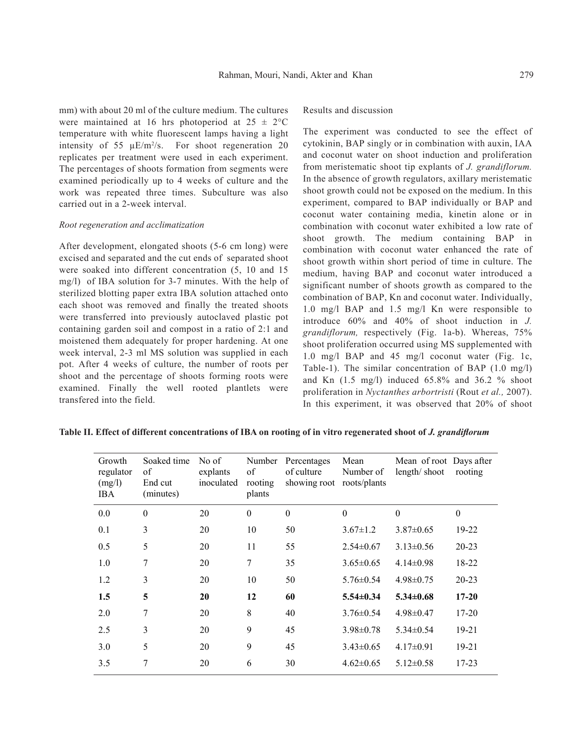mm) with about 20 ml of the culture medium. The cultures were maintained at 16 hrs photoperiod at  $25 \pm 2$ °C temperature with white fluorescent lamps having a light intensity of 55  $\mu$ E/m<sup>2</sup>/s. For shoot regeneration 20 replicates per treatment were used in each experiment. The percentages of shoots formation from segments were examined periodically up to 4 weeks of culture and the work was repeated three times. Subculture was also carried out in a 2-week interval.

#### *Root regeneration and acclimatization*

After development, elongated shoots (5-6 cm long) were excised and separated and the cut ends of separated shoot were soaked into different concentration (5, 10 and 15 mg/l) of IBA solution for 3-7 minutes. With the help of sterilized blotting paper extra IBA solution attached onto each shoot was removed and finally the treated shoots were transferred into previously autoclaved plastic pot containing garden soil and compost in a ratio of 2:1 and moistened them adequately for proper hardening. At one week interval, 2-3 ml MS solution was supplied in each pot. After 4 weeks of culture, the number of roots per shoot and the percentage of shoots forming roots were examined. Finally the well rooted plantlets were transfered into the field.

## Results and discussion

The experiment was conducted to see the effect of cytokinin, BAP singly or in combination with auxin, IAA and coconut water on shoot induction and proliferation from meristematic shoot tip explants of *J. grandiflorum.* In the absence of growth regulators, axillary meristematic shoot growth could not be exposed on the medium. In this experiment, compared to BAP individually or BAP and coconut water containing media, kinetin alone or in combination with coconut water exhibited a low rate of shoot growth. The medium containing BAP in combination with coconut water enhanced the rate of shoot growth within short period of time in culture. The medium, having BAP and coconut water introduced a significant number of shoots growth as compared to the combination of BAP, Kn and coconut water. Individually, 1.0 mg/l BAP and 1.5 mg/l Kn were responsible to introduce 60% and 40% of shoot induction in *J. grandiflorum,* respectively (Fig. 1a-b). Whereas, 75% shoot proliferation occurred using MS supplemented with 1.0 mg/l BAP and 45 mg/l coconut water (Fig. 1c, Table-1). The similar concentration of BAP (1.0 mg/l) and Kn  $(1.5 \text{ mg/l})$  induced  $65.8\%$  and  $36.2\%$  shoot proliferation in *Nyctanthes arbortristi* (Rout *et al.,* 2007). In this experiment, it was observed that 20% of shoot

|  | Table II. Effect of different concentrations of IBA on rooting of in vitro regenerated shoot of J. grandiflorum |  |  |  |
|--|-----------------------------------------------------------------------------------------------------------------|--|--|--|
|  |                                                                                                                 |  |  |  |

| Growth<br>regulator<br>(mg/l)<br><b>IBA</b> | Soaked time<br>of<br>End cut<br>(minutes) | No of<br>explants<br>inoculated | Number<br>of<br>rooting<br>plants | Percentages<br>of culture<br>showing root | Mean<br>Number of<br>roots/plants | Mean of root Days after<br>length/shoot | rooting   |
|---------------------------------------------|-------------------------------------------|---------------------------------|-----------------------------------|-------------------------------------------|-----------------------------------|-----------------------------------------|-----------|
| 0.0                                         | $\theta$                                  | 20                              | $\theta$                          | $\theta$                                  | $\mathbf{0}$                      | $\theta$                                | $\theta$  |
| 0.1                                         | 3                                         | 20                              | 10                                | 50                                        | $3.67 \pm 1.2$                    | $3.87\pm0.65$                           | 19-22     |
| 0.5                                         | 5                                         | 20                              | 11                                | 55                                        | $2.54\pm0.67$                     | $3.13 \pm 0.56$                         | 20-23     |
| 1.0                                         | 7                                         | 20                              | 7                                 | 35                                        | $3.65 \pm 0.65$                   | $4.14\pm0.98$                           | 18-22     |
| 1.2                                         | 3                                         | 20                              | 10                                | 50                                        | $5.76 \pm 0.54$                   | $4.98 \pm 0.75$                         | 20-23     |
| 1.5                                         | 5                                         | 20                              | 12                                | 60                                        | $5.54 \pm 0.34$                   | $5.34 \pm 0.68$                         | $17 - 20$ |
| 2.0                                         | 7                                         | 20                              | 8                                 | 40                                        | $3.76 \pm 0.54$                   | $4.98 \pm 0.47$                         | $17 - 20$ |
| 2.5                                         | 3                                         | 20                              | 9                                 | 45                                        | $3.98 \pm 0.78$                   | $5.34 \pm 0.54$                         | $19 - 21$ |
| 3.0                                         | 5                                         | 20                              | 9                                 | 45                                        | $3.43 \pm 0.65$                   | $4.17\pm0.91$                           | $19 - 21$ |
| 3.5                                         | 7                                         | 20                              | 6                                 | 30                                        | $4.62 \pm 0.65$                   | $5.12 \pm 0.58$                         | $17 - 23$ |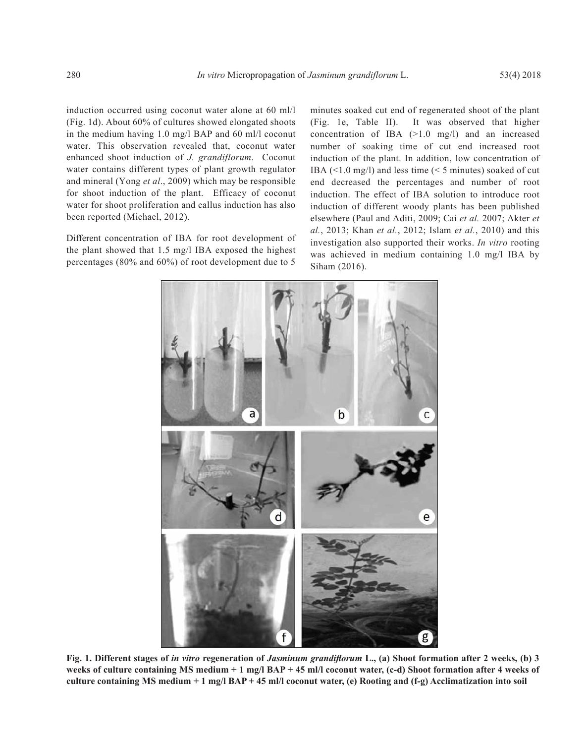induction occurred using coconut water alone at 60 ml/l (Fig. 1d). About 60% of cultures showed elongated shoots in the medium having 1.0 mg/l BAP and 60 ml/l coconut water. This observation revealed that, coconut water enhanced shoot induction of *J. grandiflorum*. Coconut water contains different types of plant growth regulator and mineral (Yong *et al*., 2009) which may be responsible for shoot induction of the plant. Efficacy of coconut water for shoot proliferation and callus induction has also been reported (Michael, 2012).

Different concentration of IBA for root development of the plant showed that 1.5 mg/l IBA exposed the highest percentages (80% and 60%) of root development due to 5

minutes soaked cut end of regenerated shoot of the plant (Fig. 1e, Table II). It was observed that higher concentration of IBA  $(>1.0 \text{ mg/l})$  and an increased number of soaking time of cut end increased root induction of the plant. In addition, low concentration of IBA (<1.0 mg/l) and less time (< 5 minutes) soaked of cut end decreased the percentages and number of root induction. The effect of IBA solution to introduce root induction of different woody plants has been published elsewhere (Paul and Aditi, 2009; Cai *et al.* 2007; Akter *et al.*, 2013; Khan *et al.*, 2012; Islam *et al.*, 2010) and this investigation also supported their works. *In vitro* rooting was achieved in medium containing 1.0 mg/l IBA by Siham (2016).



**Fig. 1. Different stages of** *in vitro* **regeneration of** *Jasminum grandiflorum* **L., (a) Shoot formation after 2 weeks, (b) 3 weeks of culture containing MS medium + 1 mg/l BAP + 45 ml/l coconut water, (c-d) Shoot formation after 4 weeks of culture containing MS medium + 1 mg/l BAP + 45 ml/l coconut water, (e) Rooting and (f-g) Acclimatization into soil**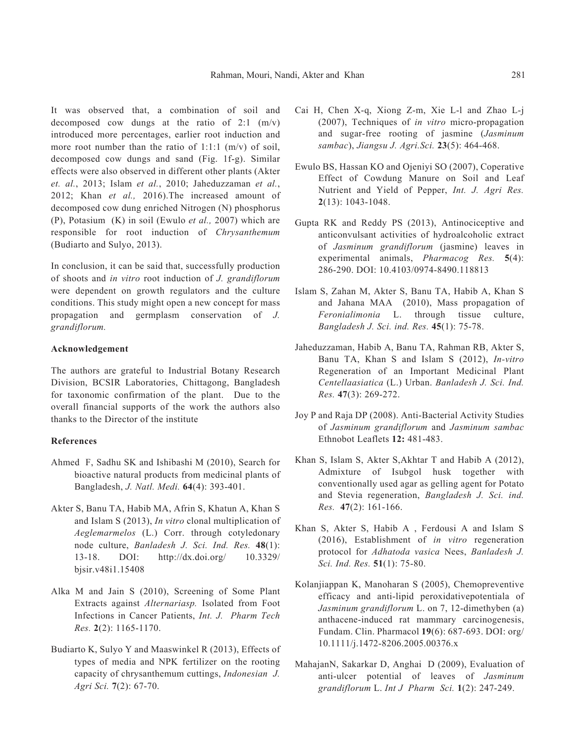It was observed that, a combination of soil and decomposed cow dungs at the ratio of 2:1 (m/v) introduced more percentages, earlier root induction and more root number than the ratio of 1:1:1  $(m/v)$  of soil, decomposed cow dungs and sand (Fig. 1f-g). Similar effects were also observed in different other plants (Akter *et. al.*, 2013; Islam *et al.*, 2010; Jaheduzzaman *et al.*, 2012; Khan *et al.,* 2016).The increased amount of decomposed cow dung enriched Nitrogen (N) phosphorus (P), Potasium (K) in soil (Ewulo *et al.,* 2007) which are responsible for root induction of *Chrysanthemum* (Budiarto and Sulyo, 2013).

In conclusion, it can be said that, successfully production of shoots and *in vitro* root induction of *J. grandiflorum* were dependent on growth regulators and the culture conditions. This study might open a new concept for mass propagation and germplasm conservation of *J. grandiflorum.*

#### **Acknowledgement**

The authors are grateful to Industrial Botany Research Division, BCSIR Laboratories, Chittagong, Bangladesh for taxonomic confirmation of the plant. Due to the overall financial supports of the work the authors also thanks to the Director of the institute

### **References**

- Ahmed F, Sadhu SK and Ishibashi M (2010), Search for bioactive natural products from medicinal plants of Bangladesh, *J. Natl. Medi.* **64**(4): 393-401.
- Akter S, Banu TA, Habib MA, Afrin S, Khatun A, Khan S and Islam S (2013), *In vitro* clonal multiplication of *Aeglemarmelos* (L.) Corr. through cotyledonary node culture, *Banladesh J. Sci. Ind. Res.* **48**(1): 13-18. DOI: http://dx.doi.org/ 10.3329/ bjsir.v48i1.15408
- Alka M and Jain S (2010), Screening of Some Plant Extracts against *Alternariasp.* Isolated from Foot Infections in Cancer Patients, *Int. J. Pharm Tech Res.* **2**(2): 1165-1170.
- Budiarto K, Sulyo Y and Maaswinkel R (2013), Effects of types of media and NPK fertilizer on the rooting capacity of chrysanthemum cuttings, *Indonesian J. Agri Sci.* **7**(2): 67-70.
- Cai H, Chen X-q, Xiong Z-m, Xie L-l and Zhao L-j (2007), Techniques of *in vitro* micro-propagation and sugar-free rooting of jasmine (*Jasminum sambac*), *Jiangsu J. Agri.Sci.* **23**(5): 464-468.
- Ewulo BS, Hassan KO and Ojeniyi SO (2007), Coperative Effect of Cowdung Manure on Soil and Leaf Nutrient and Yield of Pepper, *Int. J. Agri Res.* **2**(13): 1043-1048.
- Gupta RK and Reddy PS (2013), Antinociceptive and anticonvulsant activities of hydroalcoholic extract of *Jasminum grandiflorum* (jasmine) leaves in experimental animals, *Pharmacog Res.* **5**(4): 286-290. DOI: 10.4103/0974-8490.118813
- Islam S, Zahan M, Akter S, Banu TA, Habib A, Khan S and Jahana MAA (2010), Mass propagation of *Feronialimonia* L. through tissue culture, *Bangladesh J. Sci. ind. Res.* **45**(1): 75-78.
- Jaheduzzaman, Habib A, Banu TA, Rahman RB, Akter S, Banu TA, Khan S and Islam S (2012), *In-vitro* Regeneration of an Important Medicinal Plant *Centellaasiatica* (L.) Urban. *Banladesh J. Sci. Ind. Res.* **47**(3): 269-272.
- Joy P and Raja DP (2008). Anti-Bacterial Activity Studies of *Jasminum grandiflorum* and *Jasminum sambac*  Ethnobot Leaflets **12:** 481-483.
- Khan S, Islam S, Akter S,Akhtar T and Habib A (2012), Admixture of Isubgol husk together with conventionally used agar as gelling agent for Potato and Stevia regeneration, *Bangladesh J. Sci. ind. Res.* **47**(2): 161-166.
- Khan S, Akter S, Habib A , Ferdousi A and Islam S (2016), Establishment of *in vitro* regeneration protocol for *Adhatoda vasica* Nees, *Banladesh J. Sci. Ind. Res.* **51**(1): 75-80.
- Kolanjiappan K, Manoharan S (2005), Chemopreventive efficacy and anti-lipid peroxidativepotentiala of *Jasminum grandiflorum* L. on 7, 12-dimethyben (a) anthacene-induced rat mammary carcinogenesis, Fundam. Clin. Pharmacol **19**(6): 687-693. DOI: org/ 10.1111/j.1472-8206.2005.00376.x
- MahajanN, Sakarkar D, Anghai D (2009), Evaluation of anti-ulcer potential of leaves of *Jasminum grandiflorum* L. *Int J Pharm Sci.* **1**(2): 247-249.